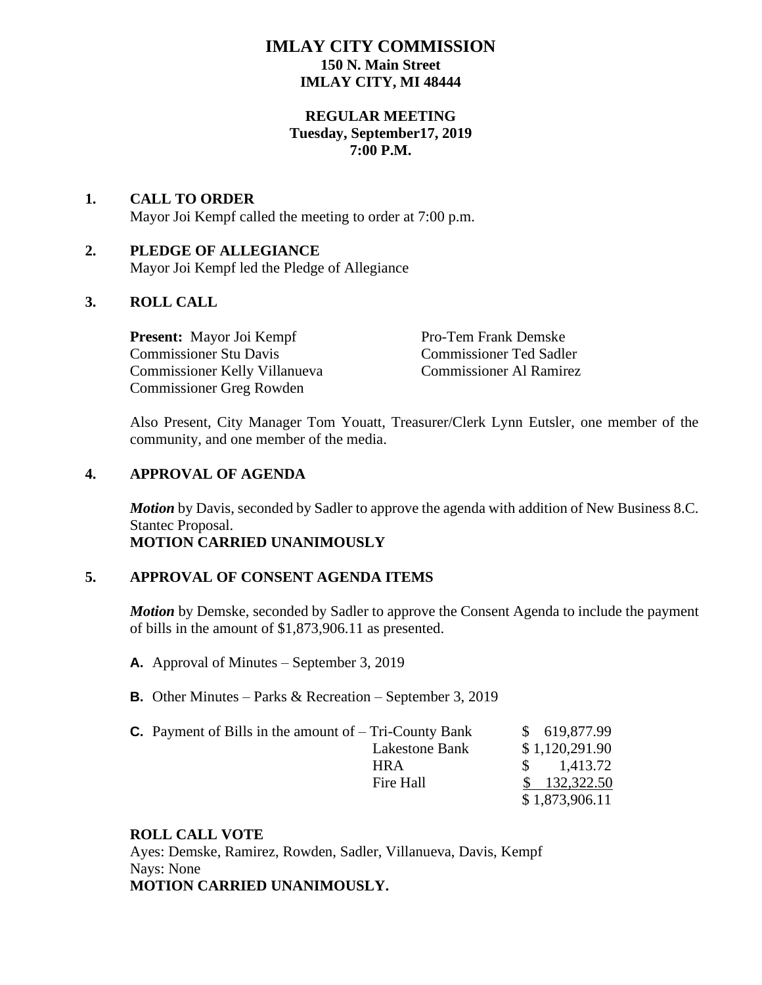# **IMLAY CITY COMMISSION 150 N. Main Street IMLAY CITY, MI 48444**

### **REGULAR MEETING Tuesday, September17, 2019 7:00 P.M.**

#### **1. CALL TO ORDER** Mayor Joi Kempf called the meeting to order at 7:00 p.m.

### **2. PLEDGE OF ALLEGIANCE** Mayor Joi Kempf led the Pledge of Allegiance

# **3. ROLL CALL**

**Present:** Mayor Joi Kempf Pro-Tem Frank Demske Commissioner Stu Davis Commissioner Ted Sadler Commissioner Kelly Villanueva Commissioner Al Ramirez Commissioner Greg Rowden

Also Present, City Manager Tom Youatt, Treasurer/Clerk Lynn Eutsler, one member of the community, and one member of the media.

## **4. APPROVAL OF AGENDA**

*Motion* by Davis, seconded by Sadler to approve the agenda with addition of New Business 8.C. Stantec Proposal.

# **MOTION CARRIED UNANIMOUSLY**

## **5. APPROVAL OF CONSENT AGENDA ITEMS**

*Motion* by Demske, seconded by Sadler to approve the Consent Agenda to include the payment of bills in the amount of \$1,873,906.11 as presented.

- **A.** Approval of Minutes September 3, 2019
- **B.** Other Minutes Parks & Recreation September 3, 2019

| <b>C.</b> Payment of Bills in the amount of $-$ Tri-County Bank | \$619,877.99              |
|-----------------------------------------------------------------|---------------------------|
| Lakestone Bank                                                  | \$1,120,291.90            |
| <b>HRA</b>                                                      | 1,413.72<br>$\mathcal{S}$ |
| Fire Hall                                                       | $\frac{132,322.50}{2}$    |
|                                                                 | \$1,873,906.11            |

## **ROLL CALL VOTE**

Ayes: Demske, Ramirez, Rowden, Sadler, Villanueva, Davis, Kempf Nays: None **MOTION CARRIED UNANIMOUSLY.**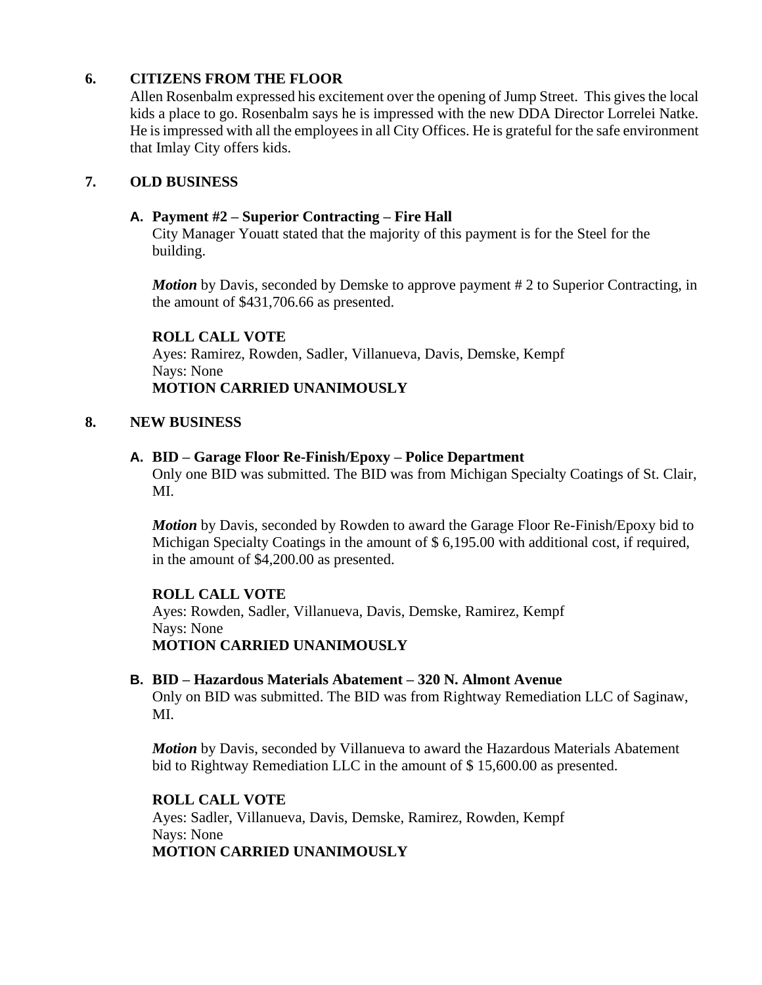# **6. CITIZENS FROM THE FLOOR**

Allen Rosenbalm expressed his excitement over the opening of Jump Street. This gives the local kids a place to go. Rosenbalm says he is impressed with the new DDA Director Lorrelei Natke. He is impressed with all the employees in all City Offices. He is grateful for the safe environment that Imlay City offers kids.

## **7. OLD BUSINESS**

## **A. Payment #2 – Superior Contracting – Fire Hall**

City Manager Youatt stated that the majority of this payment is for the Steel for the building.

*Motion* by Davis, seconded by Demske to approve payment # 2 to Superior Contracting, in the amount of \$431,706.66 as presented.

#### **ROLL CALL VOTE**

Ayes: Ramirez, Rowden, Sadler, Villanueva, Davis, Demske, Kempf Nays: None **MOTION CARRIED UNANIMOUSLY**

#### **8. NEW BUSINESS**

#### **A. BID – Garage Floor Re-Finish/Epoxy – Police Department**

Only one BID was submitted. The BID was from Michigan Specialty Coatings of St. Clair, MI.

*Motion* by Davis, seconded by Rowden to award the Garage Floor Re-Finish/Epoxy bid to Michigan Specialty Coatings in the amount of \$ 6,195.00 with additional cost, if required, in the amount of \$4,200.00 as presented.

## **ROLL CALL VOTE**

Ayes: Rowden, Sadler, Villanueva, Davis, Demske, Ramirez, Kempf Nays: None **MOTION CARRIED UNANIMOUSLY**

#### **B. BID – Hazardous Materials Abatement – 320 N. Almont Avenue**

Only on BID was submitted. The BID was from Rightway Remediation LLC of Saginaw, MI.

*Motion* by Davis, seconded by Villanueva to award the Hazardous Materials Abatement bid to Rightway Remediation LLC in the amount of \$ 15,600.00 as presented.

#### **ROLL CALL VOTE**

Ayes: Sadler, Villanueva, Davis, Demske, Ramirez, Rowden, Kempf Nays: None **MOTION CARRIED UNANIMOUSLY**